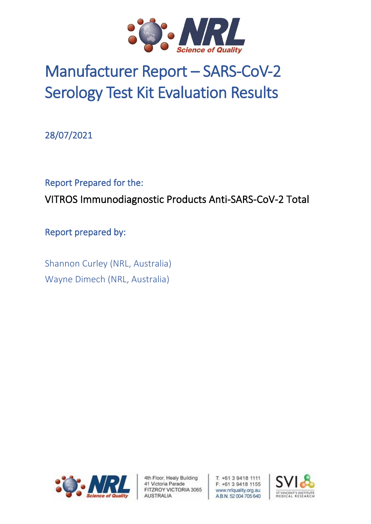

# Manufacturer Report – SARS-CoV-2 Serology Test Kit Evaluation Results

28/07/2021

## Report Prepared for the: VITROS Immunodiagnostic Products Anti-SARS-CoV-2 Total

Report prepared by:

Shannon Curley (NRL, Australia) Wayne Dimech (NRL, Australia)



4th Floor, Healy Building 41 Victoria Parade FITZROY VICTORIA 3065 **AUSTRALIA** 

T: +61 3 9418 1111 F: +61 3 9418 1155 www.nriquality.org.au AB.N. 52004705640

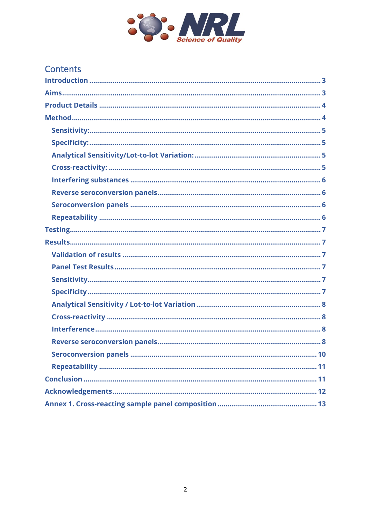

| <b>Contents</b> |
|-----------------|
|-----------------|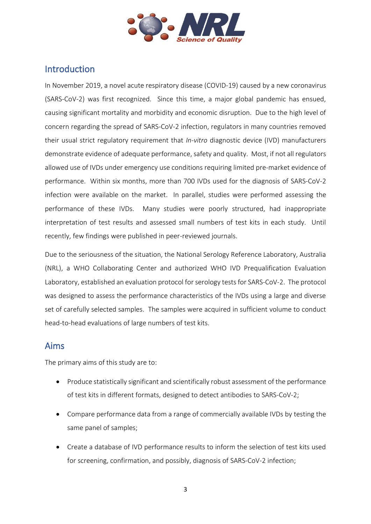

## <span id="page-2-0"></span>Introduction

In November 2019, a novel acute respiratory disease (COVID-19) caused by a new coronavirus (SARS-CoV-2) was first recognized. Since this time, a major global pandemic has ensued, causing significant mortality and morbidity and economic disruption. Due to the high level of concern regarding the spread of SARS-CoV-2 infection, regulators in many countries removed their usual strict regulatory requirement that *In-vitro* diagnostic device (IVD) manufacturers demonstrate evidence of adequate performance, safety and quality. Most, if not all regulators allowed use of IVDs under emergency use conditions requiring limited pre-market evidence of performance. Within six months, more than 700 IVDs used for the diagnosis of SARS-CoV-2 infection were available on the market. In parallel, studies were performed assessing the performance of these IVDs. Many studies were poorly structured, had inappropriate interpretation of test results and assessed small numbers of test kits in each study. Until recently, few findings were published in peer-reviewed journals.

Due to the seriousness of the situation, the National Serology Reference Laboratory, Australia (NRL), a WHO Collaborating Center and authorized WHO IVD Prequalification Evaluation Laboratory, established an evaluation protocol for serology tests for SARS-CoV-2. The protocol was designed to assess the performance characteristics of the IVDs using a large and diverse set of carefully selected samples. The samples were acquired in sufficient volume to conduct head-to-head evaluations of large numbers of test kits.

### <span id="page-2-1"></span>Aims

The primary aims of this study are to:

- Produce statistically significant and scientifically robust assessment of the performance of test kits in different formats, designed to detect antibodies to SARS-CoV-2;
- Compare performance data from a range of commercially available IVDs by testing the same panel of samples;
- Create a database of IVD performance results to inform the selection of test kits used for screening, confirmation, and possibly, diagnosis of SARS-CoV-2 infection;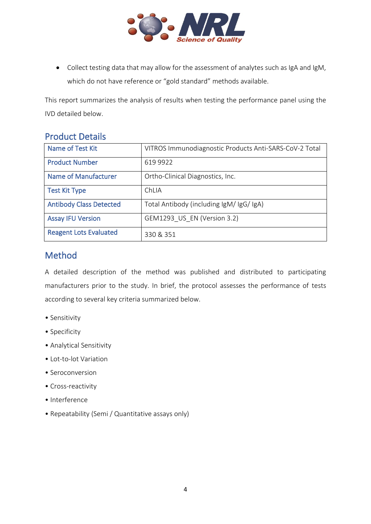

• Collect testing data that may allow for the assessment of analytes such as IgA and IgM, which do not have reference or "gold standard" methods available.

This report summarizes the analysis of results when testing the performance panel using the IVD detailed below.

## <span id="page-3-0"></span>Product Details

| Name of Test Kit               | VITROS Immunodiagnostic Products Anti-SARS-CoV-2 Total |
|--------------------------------|--------------------------------------------------------|
| <b>Product Number</b>          | 619 9922                                               |
| <b>Name of Manufacturer</b>    | Ortho-Clinical Diagnostics, Inc.                       |
| <b>Test Kit Type</b>           | ChLIA                                                  |
| <b>Antibody Class Detected</b> | Total Antibody (including IgM/ IgG/ IgA)               |
| <b>Assay IFU Version</b>       | GEM1293 US EN (Version 3.2)                            |
| <b>Reagent Lots Evaluated</b>  | 330 & 351                                              |

## <span id="page-3-1"></span>Method

A detailed description of the method was published and distributed to participating manufacturers prior to the study. In brief, the protocol assesses the performance of tests according to several key criteria summarized below.

- Sensitivity
- Specificity
- Analytical Sensitivity
- Lot-to-lot Variation
- Seroconversion
- Cross-reactivity
- Interference
- Repeatability (Semi / Quantitative assays only)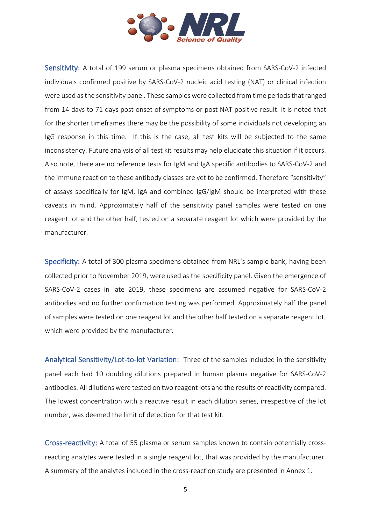

<span id="page-4-0"></span>Sensitivity: A total of 199 serum or plasma specimens obtained from SARS-CoV-2 infected individuals confirmed positive by SARS-CoV-2 nucleic acid testing (NAT) or clinical infection were used as the sensitivity panel. These samples were collected from time periods that ranged from 14 days to 71 days post onset of symptoms or post NAT positive result. It is noted that for the shorter timeframes there may be the possibility of some individuals not developing an IgG response in this time. If this is the case, all test kits will be subjected to the same inconsistency. Future analysis of all test kit results may help elucidate this situation if it occurs. Also note, there are no reference tests for IgM and IgA specific antibodies to SARS-CoV-2 and the immune reaction to these antibody classes are yet to be confirmed. Therefore "sensitivity" of assays specifically for IgM, IgA and combined IgG/IgM should be interpreted with these caveats in mind. Approximately half of the sensitivity panel samples were tested on one reagent lot and the other half, tested on a separate reagent lot which were provided by the manufacturer.

<span id="page-4-1"></span>Specificity: A total of 300 plasma specimens obtained from NRL's sample bank, having been collected prior to November 2019, were used as the specificity panel. Given the emergence of SARS-CoV-2 cases in late 2019, these specimens are assumed negative for SARS-CoV-2 antibodies and no further confirmation testing was performed. Approximately half the panel of samples were tested on one reagent lot and the other half tested on a separate reagent lot, which were provided by the manufacturer.

<span id="page-4-2"></span>Analytical Sensitivity/Lot-to-lot Variation: Three of the samples included in the sensitivity panel each had 10 doubling dilutions prepared in human plasma negative for SARS-CoV-2 antibodies. All dilutions were tested on two reagent lots and the results of reactivity compared. The lowest concentration with a reactive result in each dilution series, irrespective of the lot number, was deemed the limit of detection for that test kit.

<span id="page-4-3"></span>Cross-reactivity: A total of 55 plasma or serum samples known to contain potentially crossreacting analytes were tested in a single reagent lot, that was provided by the manufacturer. A summary of the analytes included in the cross-reaction study are presented in Annex 1.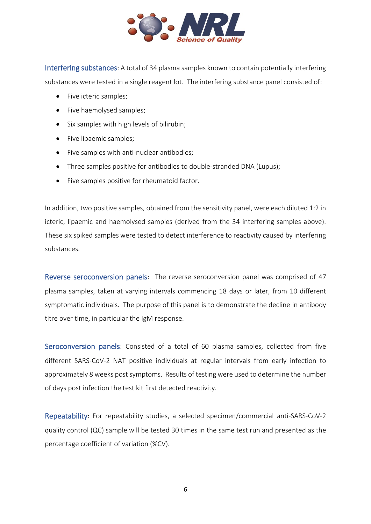

<span id="page-5-0"></span>Interfering substances: A total of 34 plasma samples known to contain potentially interfering substances were tested in a single reagent lot. The interfering substance panel consisted of:

- Five icteric samples:
- Five haemolysed samples;
- Six samples with high levels of bilirubin;
- Five lipaemic samples;
- Five samples with anti-nuclear antibodies;
- Three samples positive for antibodies to double-stranded DNA (Lupus);
- Five samples positive for rheumatoid factor.

In addition, two positive samples, obtained from the sensitivity panel, were each diluted 1:2 in icteric, lipaemic and haemolysed samples (derived from the 34 interfering samples above). These six spiked samples were tested to detect interference to reactivity caused by interfering substances.

<span id="page-5-1"></span>Reverse seroconversion panels:The reverse seroconversion panel was comprised of 47 plasma samples, taken at varying intervals commencing 18 days or later, from 10 different symptomatic individuals. The purpose of this panel is to demonstrate the decline in antibody titre over time, in particular the IgM response.

<span id="page-5-2"></span>Seroconversion panels: Consisted of a total of 60 plasma samples, collected from five different SARS-CoV-2 NAT positive individuals at regular intervals from early infection to approximately 8 weeks post symptoms. Results of testing were used to determine the number of days post infection the test kit first detected reactivity.

<span id="page-5-3"></span>Repeatability: For repeatability studies, a selected specimen/commercial anti-SARS-CoV-2 quality control (QC) sample will be tested 30 times in the same test run and presented as the percentage coefficient of variation (%CV).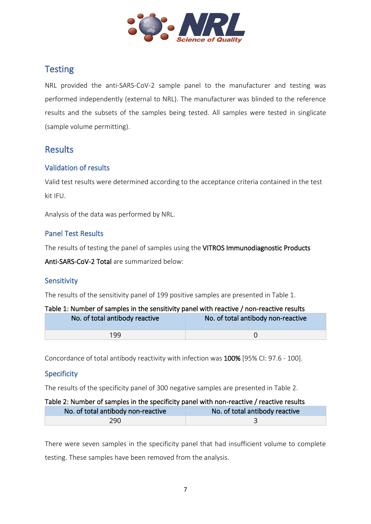

## <span id="page-6-0"></span>**Testing**

NRL provided the anti-SARS-CoV-2 sample panel to the manufacturer and testing was performed independently (external to NRL). The manufacturer was blinded to the reference results and the subsets of the samples being tested. All samples were tested in singlicate (sample volume permitting).

## <span id="page-6-1"></span>**Results**

#### <span id="page-6-2"></span>Validation of results

Valid test results were determined according to the acceptance criteria contained in the test kit IFU.

Analysis of the data was performed by NRL.

#### <span id="page-6-3"></span>Panel Test Results

The results of testing the panel of samples using the VITROS Immunodiagnostic Products

Anti-SARS-CoV-2 Total are summarized below:

#### <span id="page-6-4"></span>Sensitivity

The results of the sensitivity panel of 199 positive samples are presented in Table 1.

| Table 1: Number of samples in the sensitivity panel with reactive / non-reactive results |                                    |  |  |
|------------------------------------------------------------------------------------------|------------------------------------|--|--|
| No. of total antibody reactive                                                           | No. of total antibody non-reactive |  |  |
| 199                                                                                      |                                    |  |  |

Concordance of total antibody reactivity with infection was 100% [95% CI: 97.6 - 100].

#### <span id="page-6-5"></span>Specificity

The results of the specificity panel of 300 negative samples are presented in Table 2.

| Table 2: Number of samples in the specificity panel with non-reactive / reactive results |  |  |  |
|------------------------------------------------------------------------------------------|--|--|--|
| No. of total antibody non-reactive<br>No. of total antibody reactive                     |  |  |  |
| 290                                                                                      |  |  |  |

There were seven samples in the specificity panel that had insufficient volume to complete testing. These samples have been removed from the analysis.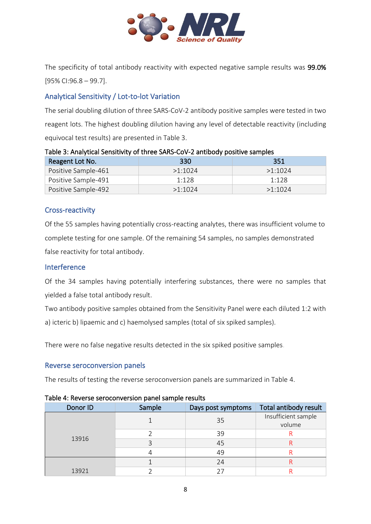

The specificity of total antibody reactivity with expected negative sample results was 99.0% [95% CI:96.8 – 99.7].

#### <span id="page-7-0"></span>Analytical Sensitivity / Lot-to-lot Variation

The serial doubling dilution of three SARS-CoV-2 antibody positive samples were tested in two reagent lots. The highest doubling dilution having any level of detectable reactivity (including equivocal test results) are presented in Table 3.

#### Table 3: Analytical Sensitivity of three SARS-CoV-2 antibody positive samples

| Reagent Lot No.     | 330     | 351     |
|---------------------|---------|---------|
| Positive Sample-461 | >1.1024 | >1.1024 |
| Positive Sample-491 | 1.128   | 1.128   |
| Positive Sample-492 | >1.1024 | >1.1024 |

#### <span id="page-7-1"></span>Cross-reactivity

Of the 55 samples having potentially cross-reacting analytes, there was insufficient volume to complete testing for one sample. Of the remaining 54 samples, no samples demonstrated false reactivity for total antibody.

#### <span id="page-7-2"></span>Interference

Of the 34 samples having potentially interfering substances, there were no samples that yielded a false total antibody result.

Two antibody positive samples obtained from the Sensitivity Panel were each diluted 1:2 with a) icteric b) lipaemic and c) haemolysed samples (total of six spiked samples).

There were no false negative results detected in the six spiked positive samples.

#### <span id="page-7-3"></span>Reverse seroconversion panels

The results of testing the reverse seroconversion panels are summarized in Table 4.

| Donor ID | Sample | Days post symptoms | Total antibody result         |
|----------|--------|--------------------|-------------------------------|
|          |        | 35                 | Insufficient sample<br>volume |
|          |        | 39                 |                               |
| 13916    |        | 45                 |                               |
|          |        | 49                 |                               |
|          |        | 24                 |                               |
| 13921    |        |                    |                               |

#### Table 4: Reverse seroconversion panel sample results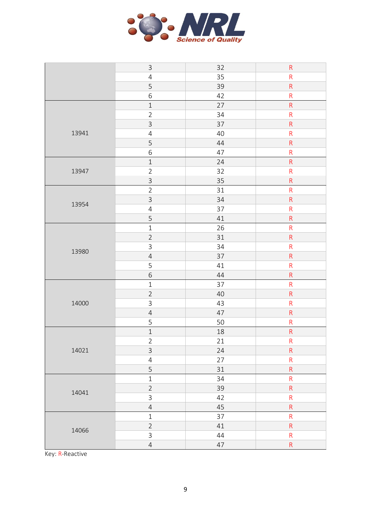

|       | $\mathsf 3$    | 32 | ${\sf R}$               |
|-------|----------------|----|-------------------------|
|       | $\overline{4}$ | 35 | ${\sf R}$               |
|       | 5              | 39 | ${\sf R}$               |
|       | $\,$ 6 $\,$    | 42 | ${\sf R}$               |
|       | $\,1\,$        | 27 | ${\sf R}$               |
|       | $\overline{2}$ | 34 | ${\sf R}$               |
|       | $\mathsf{3}$   | 37 | ${\sf R}$               |
| 13941 | $\overline{4}$ | 40 | ${\sf R}$               |
|       | 5              | 44 | ${\sf R}$               |
|       | $\,$ 6 $\,$    | 47 | ${\sf R}$               |
|       | $\mathbf 1$    | 24 | ${\sf R}$               |
| 13947 | $\overline{2}$ | 32 | ${\sf R}$               |
|       | $\overline{3}$ | 35 | ${\sf R}$               |
|       | $\overline{2}$ | 31 | ${\sf R}$               |
| 13954 | $\overline{3}$ | 34 | ${\sf R}$               |
|       | $\overline{4}$ | 37 | ${\sf R}$               |
|       | 5              | 41 | ${\sf R}$               |
|       | $\mathbf{1}$   | 26 | $\overline{\mathsf{R}}$ |
|       | $\sqrt{2}$     | 31 | ${\sf R}$               |
| 13980 | $\mathsf{3}$   | 34 | ${\sf R}$               |
|       | $\overline{4}$ | 37 | ${\sf R}$               |
|       | 5              | 41 | ${\sf R}$               |
|       | $\sqrt{6}$     | 44 | ${\sf R}$               |
|       | $\,1\,$        | 37 | ${\sf R}$               |
|       | $\overline{2}$ | 40 | ${\sf R}$               |
| 14000 | $\mathsf{3}$   | 43 | ${\sf R}$               |
|       | $\overline{4}$ | 47 | ${\sf R}$               |
|       | 5              | 50 | ${\sf R}$               |
|       | $\mathbf 1$    | 18 | ${\sf R}$               |
|       | $\overline{2}$ | 21 | ${\sf R}$               |
| 14021 | $\mathsf{3}$   | 24 | ${\sf R}$               |
|       | $\overline{4}$ | 27 | ${\sf R}$               |
|       | 5              | 31 | $\mathsf{R}% _{T}$      |
|       | $\mathbf 1$    | 34 | $\overline{\mathsf{R}}$ |
| 14041 | $\overline{2}$ | 39 | $\mathsf{R}$            |
|       | 3              | 42 | $\mathsf R$             |
|       | $\overline{4}$ | 45 | $\overline{\mathsf{R}}$ |
|       | $\,1\,$        | 37 | $\mathsf R$             |
| 14066 | $\overline{2}$ | 41 | $\mathsf{R}$            |
|       | $\mathsf{3}$   | 44 | ${\sf R}$               |
|       | $\overline{4}$ | 47 | ${\sf R}$               |

Key: R-Reactive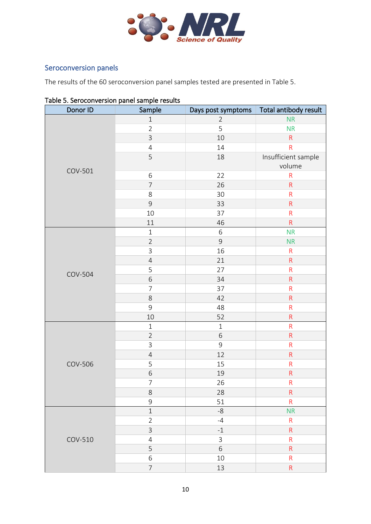

## <span id="page-9-0"></span>Seroconversion panels

The results of the 60 seroconversion panel samples tested are presented in Table 5.

| rable 5: Serbedirer Sion panel sample results<br>Donor ID | Sample         | Days post symptoms | Total antibody result |
|-----------------------------------------------------------|----------------|--------------------|-----------------------|
|                                                           | $\,1\,$        | $\overline{2}$     | <b>NR</b>             |
|                                                           | $\overline{2}$ | 5                  | <b>NR</b>             |
|                                                           | $\mathsf{3}$   | 10                 | $\mathsf{R}$          |
|                                                           | $\sqrt{4}$     | 14                 | ${\sf R}$             |
|                                                           | 5              | 18                 | Insufficient sample   |
|                                                           |                |                    | volume                |
| COV-501                                                   | $\,$ 6 $\,$    | 22                 | ${\sf R}$             |
|                                                           | $\overline{7}$ | 26                 | ${\sf R}$             |
|                                                           | 8              | 30                 | $\mathsf{R}$          |
|                                                           | $\mathsf 9$    | 33                 | ${\sf R}$             |
|                                                           | 10             | 37                 | ${\sf R}$             |
|                                                           | 11             | 46                 | ${\sf R}$             |
|                                                           | $\,1\,$        | $\,$ 6 $\,$        | <b>NR</b>             |
|                                                           | $\sqrt{2}$     | $\overline{9}$     | NR                    |
|                                                           | $\overline{3}$ | 16                 | ${\sf R}$             |
|                                                           | $\overline{4}$ | 21                 | ${\sf R}$             |
|                                                           | 5              | 27                 | ${\sf R}$             |
| <b>COV-504</b>                                            | $\sqrt{6}$     | 34                 | ${\sf R}$             |
|                                                           | $\overline{7}$ | 37                 | ${\sf R}$             |
|                                                           | $\,8$          | 42                 | ${\sf R}$             |
|                                                           | 9              | 48                 | ${\sf R}$             |
|                                                           | 10             | 52                 | ${\sf R}$             |
|                                                           | $\,1$          | $1\,$              | ${\sf R}$             |
|                                                           | $\overline{2}$ | $\,$ 6 $\,$        | ${\sf R}$             |
|                                                           | $\overline{3}$ | $\overline{9}$     | ${\sf R}$             |
|                                                           | $\overline{4}$ | 12                 | ${\sf R}$             |
| <b>COV-506</b>                                            | 5              | 15                 | ${\sf R}$             |
|                                                           | $\overline{6}$ | 19                 | ${\sf R}$             |
|                                                           | 7              | 26                 | R,                    |
|                                                           | $\,8$          | 28                 | $\mathsf{R}$          |
|                                                           | $\mathsf 9$    | 51                 | ${\sf R}$             |
|                                                           | $1\,$          | $-8$               | <b>NR</b>             |
|                                                           | $\overline{2}$ | $-4$               | $\mathsf R$           |
|                                                           | $\mathsf{3}$   | $-1$               | $\mathsf{R}$          |
| COV-510                                                   | $\overline{4}$ | $\mathsf{3}$       | $\mathsf{R}$          |
|                                                           | 5              | 6                  | $\mathsf{R}$          |
|                                                           | $\sqrt{6}$     | 10                 | $\mathsf{R}$          |
|                                                           | $\overline{7}$ | 13                 | $\mathsf R$           |

#### Table 5. Seroconversion panel sample results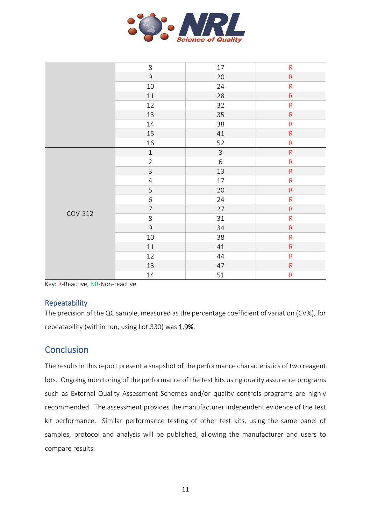

|         | 8              | $17\,$         | ${\sf R}$               |
|---------|----------------|----------------|-------------------------|
|         | $\overline{9}$ | 20             | $\overline{\mathsf{R}}$ |
|         | 10             | 24             | $\mathsf{R}$            |
|         | 11             | 28             | $\mathsf{R}$            |
|         | 12             | 32             | $\overline{\mathsf{R}}$ |
|         | 13             | 35             | $\overline{\mathsf{R}}$ |
|         | 14             | 38             | $\mathsf R$             |
|         | 15             | 41             | $\overline{\mathsf{R}}$ |
|         | 16             | 52             | $\mathsf{R}$            |
|         | $\mathbf 1$    | $\overline{3}$ | $\mathsf{R}$            |
|         | $\overline{2}$ | $\sqrt{6}$     | $\mathsf{R}$            |
|         | $\mathsf{3}$   | 13             | $\overline{\mathsf{R}}$ |
|         | $\overline{4}$ | 17             | $\overline{\mathsf{R}}$ |
|         | 5              | 20             | $\overline{\mathsf{R}}$ |
|         | 6              | 24             | $\mathsf R$             |
| COV-512 | $\overline{7}$ | 27             | ${\sf R}$               |
|         | 8              | 31             | $\mathsf{R}$            |
|         | $\overline{9}$ | 34             | $\mathsf{R}$            |
|         | $10\,$         | 38             | $\mathsf{R}$            |
|         | $11\,$         | 41             | $\overline{\mathsf{R}}$ |
|         | 12             | 44             | ${\sf R}$               |
|         | 13             | 47             | ${\sf R}$               |
|         | $14\,$         | 51             | ${\sf R}$               |

Key: R-Reactive, NR-Non-reactive

#### <span id="page-10-0"></span>Repeatability

The precision of the QC sample, measured as the percentage coefficient of variation (CV%), for repeatability (within run, using Lot:330) was 1.9%.

## <span id="page-10-1"></span>**Conclusion**

The results in this report present a snapshot of the performance characteristics of two reagent lots. Ongoing monitoring of the performance of the test kits using quality assurance programs such as External Quality Assessment Schemes and/or quality controls programs are highly recommended. The assessment provides the manufacturer independent evidence of the test kit performance. Similar performance testing of other test kits, using the same panel of samples, protocol and analysis will be published, allowing the manufacturer and users to compare results.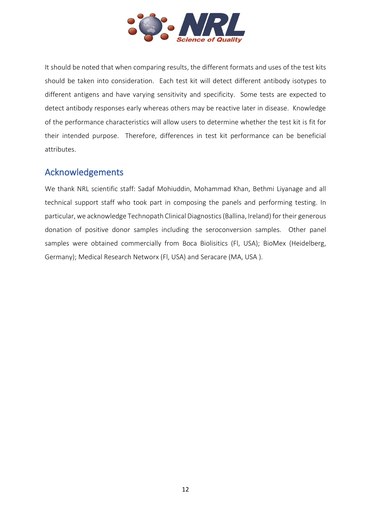

It should be noted that when comparing results, the different formats and uses of the test kits should be taken into consideration. Each test kit will detect different antibody isotypes to different antigens and have varying sensitivity and specificity. Some tests are expected to detect antibody responses early whereas others may be reactive later in disease. Knowledge of the performance characteristics will allow users to determine whether the test kit is fit for their intended purpose. Therefore, differences in test kit performance can be beneficial attributes.

## <span id="page-11-0"></span>Acknowledgements

We thank NRL scientific staff: Sadaf Mohiuddin, Mohammad Khan, Bethmi Liyanage and all technical support staff who took part in composing the panels and performing testing. In particular, we acknowledge Technopath Clinical Diagnostics (Ballina, Ireland) for their generous donation of positive donor samples including the seroconversion samples. Other panel samples were obtained commercially from Boca Biolisitics (Fl, USA); BioMex (Heidelberg, Germany); Medical Research Networx (Fl, USA) and Seracare (MA, USA ).